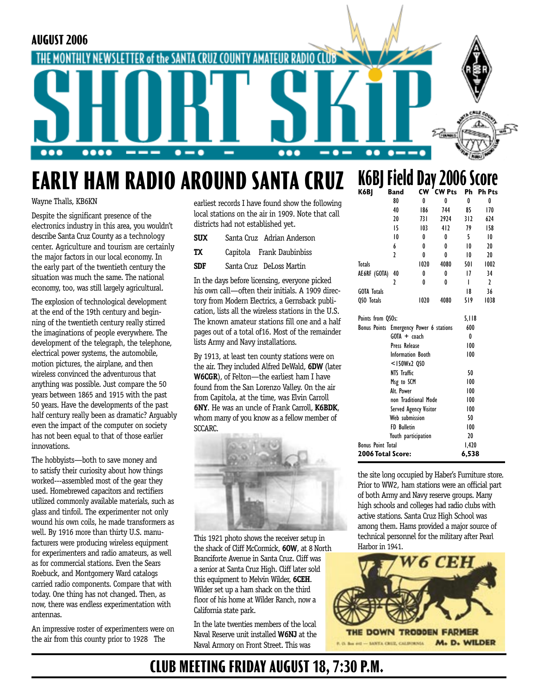

# **EARLY HAM RADIO AROUND SANTA CRUZ**

Wayne Thalls, KB6KN

Despite the significant presence of the electronics industry in this area, you wouldn't describe Santa Cruz County as a technology center. Agriculture and tourism are certainly the major factors in our local economy. In the early part of the twentieth century the situation was much the same. The national economy, too, was still largely agricultural.

The explosion of technological development at the end of the 19th century and beginning of the twentieth century really stirred the imaginations of people everywhere. The development of the telegraph, the telephone, electrical power systems, the automobile, motion pictures, the airplane, and then wireless convinced the adventurous that anything was possible. Just compare the 50 years between 1865 and 1915 with the past 50 years. Have the developments of the past half century really been as dramatic? Arguably even the impact of the computer on society has not been equal to that of those earlier innovations.

The hobbyists—both to save money and to satisfy their curiosity about how things worked---assembled most of the gear they used. Homebrewed capacitors and rectifiers utilized commonly available materials, such as glass and tinfoil. The experimenter not only wound his own coils, he made transformers as well. By 1916 more than thirty U.S. manufacturers were producing wireless equipment for experimenters and radio amateurs, as well as for commercial stations. Even the Sears Roebuck, and Montgomery Ward catalogs carried radio components. Compare that with today. One thing has not changed. Then, as now, there was endless experimentation with antennas.

An impressive roster of experimenters were on the air from this county prior to 1928 The

earliest records I have found show the following local stations on the air in 1909. Note that call districts had not established yet.

| SUX | Santa Cruz Adrian Anderson |
|-----|----------------------------|
| TХ  | Capitola Frank Daubinbiss  |

**SDF** Santa Cruz DeLoss Martin

In the days before licensing, everyone picked his own call—often their initials. A 1909 directory from Modern Electrics, a Gernsback publication, lists all the wireless stations in the U.S. The known amateur stations fill one and a half pages out of a total of16. Most of the remainder lists Army and Navy installations.

By 1913, at least ten county stations were on the air. They included Alfred DeWald, **6DW** (later **W6CGR**), of Felton—the earliest ham I have found from the San Lorenzo Valley. On the air from Capitola, at the time, was Elvin Carroll **6NY**. He was an uncle of Frank Carroll, **K6BDK**, whom many of you know as a fellow member of SCCARC.



This 1921 photo shows the receiver setup in the shack of Cliff McCormick, **6OW**, at 8 North Branciforte Avenue in Santa Cruz. Cliff was a senior at Santa Cruz High. Cliff later sold this equipment to Melvin Wilder, **6CEH**. Wilder set up a ham shack on the third floor of his home at Wilder Ranch, now a California state park.

In the late twenties members of the local Naval Reserve unit installed **W6NJ** at the Naval Armory on Front Street. This was

### **K6BJ Field Day 2006 Score K6BJ Band CW CW Pts Ph Ph Pts**

| K6BJ                                    | Band               | CW                       | <b>CW Pts</b> | Ph    | Ph Pts |
|-----------------------------------------|--------------------|--------------------------|---------------|-------|--------|
|                                         | 80                 | 0                        | 0             | 0     | 0      |
|                                         | 40                 | 186                      | 744           | 85    | 170    |
|                                         | 20                 | 73 I                     | 2924          | 312   | 624    |
|                                         | 15                 | 103                      | 412           | 79    | 158    |
|                                         | 10                 | 0                        | 0             | 5     | 10     |
|                                         | 6                  | 0                        | 0             | 10    | 20     |
|                                         | ,                  | 0                        | 0             | 10    | 20     |
| <b>Totals</b>                           |                    | 1020                     | 4080          | 501   | 1002   |
| AE6RF (GOTA)                            | 40                 | 0                        | 0             | 17    | 34     |
|                                         | 2                  | 0                        | 0             | ı     | 2      |
| <b>GOTA Totals</b>                      |                    |                          |               | 18    | 36     |
| QSO Totals                              |                    | 1020                     | 4080          | 519   | 1038   |
| Points from QSOs:                       |                    |                          |               | 5,118 |        |
| Bonus Points Emergency Power 6 stations |                    |                          |               | 600   |        |
|                                         | $G O T A + coach$  |                          |               | 0     |        |
|                                         | Press Release      |                          |               | 100   |        |
|                                         |                    | <b>Information Booth</b> |               | 100   |        |
|                                         | $<$ 150Wx2 QSO     |                          |               |       |        |
| NTS Traffic                             |                    |                          | 50            |       |        |
| Msg to SCM                              |                    |                          |               | 100   |        |
|                                         | Alt. Power         |                          |               | 100   |        |
|                                         |                    | non Traditional Mode     |               | 100   |        |
| Served Agency Visitor                   |                    |                          |               | 100   |        |
| Web submission                          |                    |                          |               | 50    |        |
|                                         | <b>FD Bulletin</b> |                          | 100           |       |        |
|                                         |                    | Youth participation      |               | 20    |        |
| <b>Bonus Point Total</b>                |                    |                          |               | 1,420 |        |
| 2006 Total Score:                       |                    |                          |               | 6,538 |        |

the site long occupied by Haber's Furniture store. Prior to WW2, ham stations were an official part of both Army and Navy reserve groups. Many high schools and colleges had radio clubs with active stations. Santa Cruz High School was among them. Hams provided a major source of technical personnel for the military after Pearl Harbor in 1941.



## **CLUB MEETING FRIDAY AUGUST 18, 7:30 P.M.**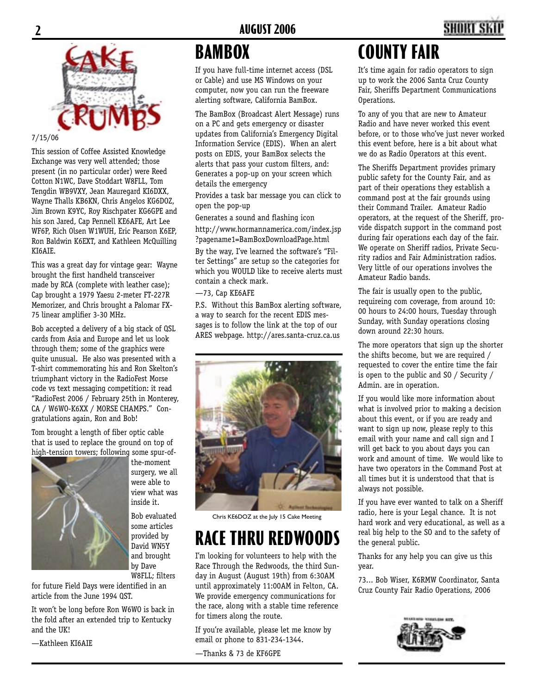

### 7/15/06

This session of Coffee Assisted Knowledge Exchange was very well attended; those present (in no particular order) were Reed Cotton N1WC, Dave Stoddart W8FLL, Tom Tengdin WB9VXY, Jean Mauregard KI6DXX, Wayne Thalls KB6KN, Chris Angelos KG6DOZ, Jim Brown K9YC, Roy Rischpater KG6GPE and his son Jared, Cap Pennell KE6AFE, Art Lee WF6P, Rich Olsen W1WUH, Eric Pearson K6EP, Ron Baldwin K6EXT, and Kathleen McQuilling KI6AIE.

This was a great day for vintage gear: Wayne brought the first handheld transceiver made by RCA (complete with leather case); Cap brought a 1979 Yaesu 2-meter FT-227R Memorizer, and Chris brought a Palomar FX-75 linear amplifier 3-30 MHz.

Bob accepted a delivery of a big stack of QSL cards from Asia and Europe and let us look through them; some of the graphics were quite unusual. He also was presented with a T-shirt commemorating his and Ron Skelton's triumphant victory in the RadioFest Morse code vs text messaging competition: it read "RadioFest 2006 / February 25th in Monterey, CA / W6WO-K6XX / MORSE CHAMPS." Congratulations again, Ron and Bob!

Tom brought a length of fiber optic cable that is used to replace the ground on top of high-tension towers; following some spur-of-



the-moment surgery, we all were able to view what was inside it.

Bob evaluated some articles provided by David WN5Y and brought by Dave W8FLL; filters

for future Field Days were identified in an article from the June 1994 QST.

It won't be long before Ron W6WO is back in the fold after an extended trip to Kentucky and the UK!

—Kathleen KI6AIE

# **BAMBOX**

If you have full-time internet access (DSL or Cable) and use MS Windows on your computer, now you can run the freeware alerting software, California BamBox.

The BamBox (Broadcast Alert Message) runs on a PC and gets emergency or disaster updates from California's Emergency Digital Information Service (EDIS). When an alert posts on EDIS, your BamBox selects the alerts that pass your custom filters, and: Generates a pop-up on your screen which details the emergency

Provides a task bar message you can click to open the pop-up

Generates a sound and flashing icon

http://www.hormannamerica.com/index.jsp ?pagename1=BamBoxDownloadPage.html

By the way, I've learned the software's "Filter Settings" are setup so the categories for which you WOULD like to receive alerts must contain a check mark.

—73, Cap KE6AFE

P.S. Without this BamBox alerting software, a way to search for the recent EDIS messages is to follow the link at the top of our ARES webpage. http://ares.santa-cruz.ca.us



Chris KE6DOZ at the July 15 Cake Meeting

# **RACE THRU REDWOOD**

I'm looking for volunteers to help with the Race Through the Redwoods, the third Sunday in August (August 19th) from 6:30AM until approximately 11:00AM in Felton, CA. We provide emergency communications for the race, along with a stable time reference for timers along the route.

If you're available, please let me know by email or phone to 831-234-1344.

—Thanks & 73 de KF6GPE

# **COUNTY FAIR**

It's time again for radio operators to sign up to work the 2006 Santa Cruz County Fair, Sheriffs Department Communications Operations.

To any of you that are new to Amateur Radio and have never worked this event before, or to those who've just never worked this event before, here is a bit about what we do as Radio Operators at this event.

The Sheriffs Department provides primary public safety for the County Fair, and as part of their operations they establish a command post at the fair grounds using their Command Trailer. Amateur Radio operators, at the request of the Sheriff, provide dispatch support in the command post during fair operations each day of the fair. We operate on Sheriff radios, Private Security radios and Fair Administration radios. Very little of our operations involves the Amateur Radio bands.

The fair is usually open to the public, requireing com coverage, from around 10: 00 hours to 24:00 hours, Tuesday through Sunday, with Sunday operations closing down around 22:30 hours.

The more operators that sign up the shorter the shifts become, but we are required / requested to cover the entire time the fair is open to the public and SO / Security / Admin. are in operation.

If you would like more information about what is involved prior to making a decision about this event, or if you are ready and want to sign up now, please reply to this email with your name and call sign and I will get back to you about days you can work and amount of time. We would like to have two operators in the Command Post at all times but it is understood that that is always not possible.

If you have ever wanted to talk on a Sheriff radio, here is your Legal chance. It is not hard work and very educational, as well as a real big help to the SO and to the safety of the general public.

Thanks for any help you can give us this year.

73... Bob Wiser, K6RMW Coordinator, Santa Cruz County Fair Radio Operations, 2006

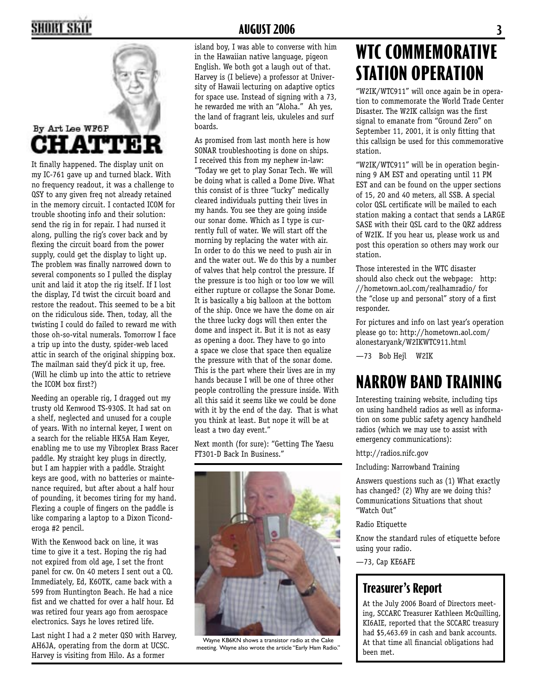# **2 AUGUST 2006 3**



It finally happened. The display unit on my IC-761 gave up and turned black. With no frequency readout, it was a challenge to QSY to any given freq not already retained in the memory circuit. I contacted ICOM for trouble shooting info and their solution: send the rig in for repair. I had nursed it along, pulling the rig's cover back and by flexing the circuit board from the power supply, could get the display to light up. The problem was finally narrowed down to several components so I pulled the display unit and laid it atop the rig itself. If I lost the display, I'd twist the circuit board and restore the readout. This seemed to be a bit on the ridiculous side. Then, today, all the twisting I could do failed to reward me with those oh-so-vital numerals. Tomorrow I face a trip up into the dusty, spider-web laced attic in search of the original shipping box. The mailman said they'd pick it up, free. (Will he climb up into the attic to retrieve the ICOM box first?)

Needing an operable rig, I dragged out my trusty old Kenwood TS-930S. It had sat on a shelf, neglected and unused for a couple of years. With no internal keyer, I went on a search for the reliable HK5A Ham Keyer, enabling me to use my Vibroplex Brass Racer paddle. My straight key plugs in directly, but I am happier with a paddle. Straight keys are good, with no batteries or maintenance required, but after about a half hour of pounding, it becomes tiring for my hand. Flexing a couple of fingers on the paddle is like comparing a laptop to a Dixon Ticonderoga #2 pencil.

With the Kenwood back on line, it was time to give it a test. Hoping the rig had not expired from old age, I set the front panel for cw. On 40 meters I sent out a CQ. Immediately, Ed, K6OTK, came back with a 599 from Huntington Beach. He had a nice fist and we chatted for over a half hour. Ed was retired four years ago from aerospace electronics. Says he loves retired life.

Last night I had a 2 meter QSO with Harvey, AH6JA, operating from the dorm at UCSC. Harvey is visiting from Hilo. As a former

island boy, I was able to converse with him in the Hawaiian native language, pigeon English. We both got a laugh out of that. Harvey is (I believe) a professor at University of Hawaii lecturing on adaptive optics for space use. Instead of signing with a 73, he rewarded me with an "Aloha." Ah yes, the land of fragrant leis, ukuleles and surf boards.

As promised from last month here is how SONAR troubleshooting is done on ships. I received this from my nephew in-law: "Today we get to play Sonar Tech. We will be doing what is called a Dome Dive. What this consist of is three "lucky" medically cleared individuals putting their lives in my hands. You see they are going inside our sonar dome. Which as I type is currently full of water. We will start off the morning by replacing the water with air. In order to do this we need to push air in and the water out. We do this by a number of valves that help control the pressure. If the pressure is too high or too low we will either rupture or collapse the Sonar Dome. It is basically a big balloon at the bottom of the ship. Once we have the dome on air the three lucky dogs will then enter the dome and inspect it. But it is not as easy as opening a door. They have to go into a space we close that space then equalize the pressure with that of the sonar dome. This is the part where their lives are in my hands because I will be one of three other people controlling the pressure inside. With all this said it seems like we could be done with it by the end of the day. That is what you think at least. But nope it will be at least a two day event."

Next month (for sure): "Getting The Yaesu FT301-D Back In Business."



Wayne KB6KN shows a transistor radio at the Cake meeting. Wayne also wrote the article "Early Ham Radio."

# **WTC COMMEMORATIVE STATION OPERATION**

"W2IK/WTC911" will once again be in operation to commemorate the World Trade Center Disaster. The W2IK callsign was the first signal to emanate from "Ground Zero" on September 11, 2001, it is only fitting that this callsign be used for this commemorative station.

"W2IK/WTC911" will be in operation beginning 9 AM EST and operating until 11 PM EST and can be found on the upper sections of 15, 20 and 40 meters, all SSB. A special color QSL certificate will be mailed to each station making a contact that sends a LARGE SASE with their QSL card to the QRZ address of W2IK. If you hear us, please work us and post this operation so others may work our station.

Those interested in the WTC disaster should also check out the webpage: http: //hometown.aol.com/realhamradio/ for the "close up and personal" story of a first responder.

For pictures and info on last year's operation please go to: http://hometown.aol.com/ alonestaryank/W2IKWTC911.html

—73 Bob Hejl W2IK

## **NARROW BAND TRAINING**

Interesting training website, including tips on using handheld radios as well as information on some public safety agency handheld radios (which we may use to assist with emergency communications):

http://radios.nifc.gov

Including: Narrowband Training

Answers questions such as (1) What exactly has changed? (2) Why are we doing this? Communications Situations that shout "Watch Out"

Radio Etiquette

Know the standard rules of etiquette before using your radio.

—73, Cap KE6AFE

## **Treasurer's Report**

At the July 2006 Board of Directors meeting, SCCARC Treasurer Kathleen McQuilling, KI6AIE, reported that the SCCARC treasury had \$5,463.69 in cash and bank accounts. At that time all financial obligations had been met.